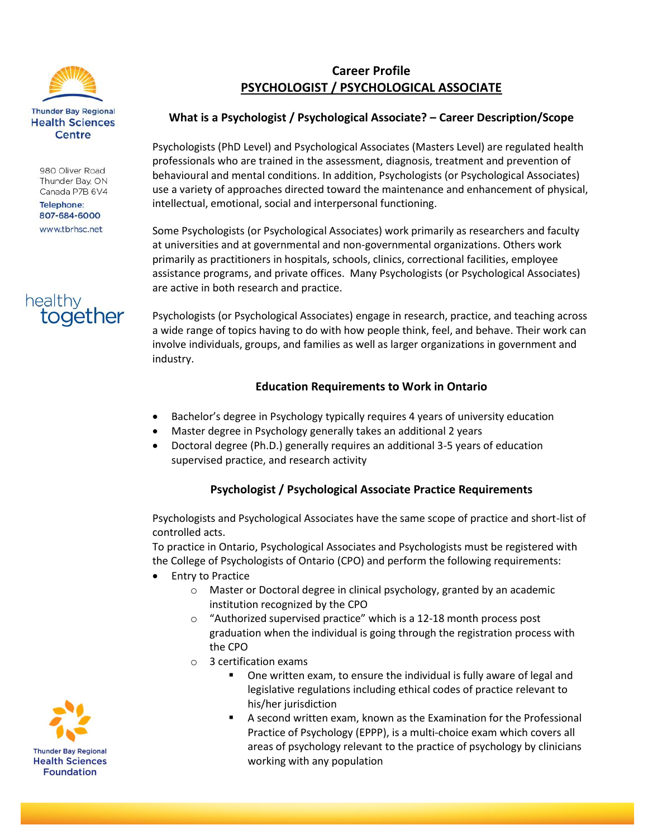

980 Oliver Road Thunder Bay, ON Canada P7B 6V4

**Telephone:** 807-684-6000 www.tbrhsc.net



# **Career Profile PSYCHOLOGIST / PSYCHOLOGICAL ASSOCIATE**

## **What is a Psychologist / Psychological Associate? – Career Description/Scope**

Psychologists (PhD Level) and Psychological Associates (Masters Level) are regulated health professionals who are trained in the assessment, diagnosis, treatment and prevention of behavioural and mental conditions. In addition, Psychologists (or Psychological Associates) use a variety of approaches directed toward the maintenance and enhancement of physical, intellectual, emotional, social and interpersonal functioning.

Some Psychologists (or Psychological Associates) work primarily as researchers and faculty at universities and at governmental and non-governmental organizations. Others work primarily as practitioners in hospitals, schools, clinics, correctional facilities, employee assistance programs, and private offices. Many Psychologists (or Psychological Associates) are active in both research and practice.

Psychologists (or Psychological Associates) engage in research, practice, and teaching across a wide range of topics having to do with how people think, feel, and behave. Their work can involve individuals, groups, and families as well as larger organizations in government and industry.

## **Education Requirements to Work in Ontario**

- Bachelor's degree in Psychology typically requires 4 years of university education
- Master degree in Psychology generally takes an additional 2 years
- Doctoral degree (Ph.D.) generally requires an additional 3-5 years of education supervised practice, and research activity

# **Psychologist / Psychological Associate Practice Requirements**

Psychologists and Psychological Associates have the same scope of practice and short-list of controlled acts.

To practice in Ontario, Psychological Associates and Psychologists must be registered with the College of Psychologists of Ontario (CPO) and perform the following requirements:

- Entry to Practice
	- o Master or Doctoral degree in clinical psychology, granted by an academic institution recognized by the CPO
	- o "Authorized supervised practice" which is a 12-18 month process post graduation when the individual is going through the registration process with the CPO
	- o 3 certification exams
		- One written exam, to ensure the individual is fully aware of legal and legislative regulations including ethical codes of practice relevant to his/her jurisdiction
		- A second written exam, known as the Examination for the Professional Practice of Psychology (EPPP), is a multi-choice exam which covers all areas of psychology relevant to the practice of psychology by clinicians working with any population